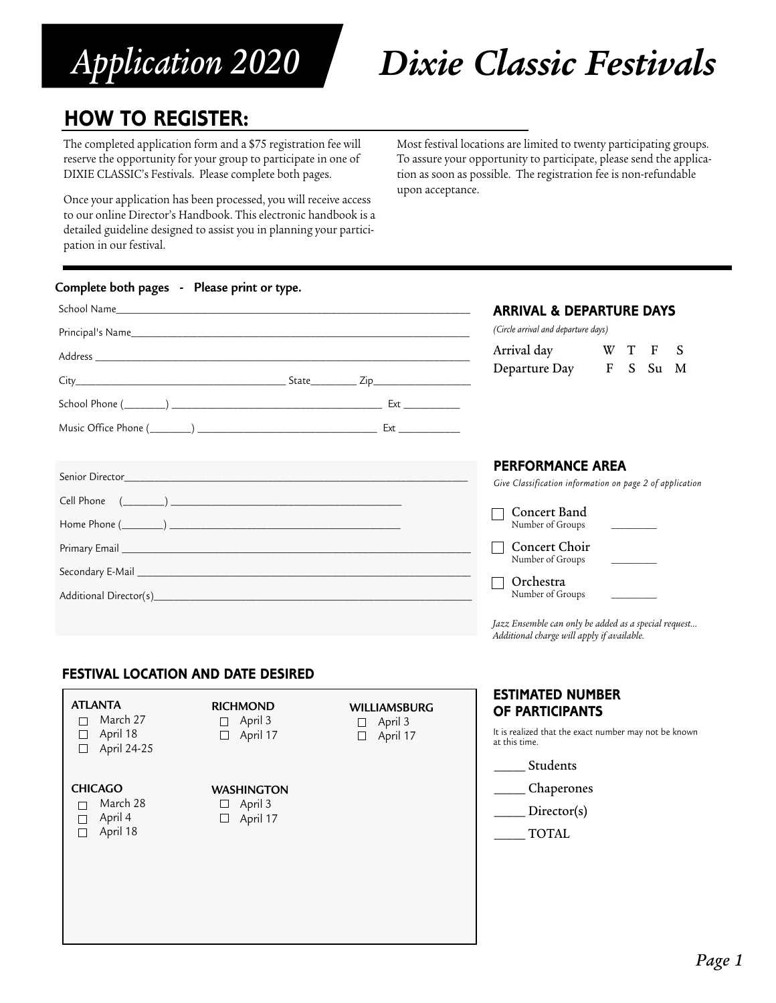# *Application 2020*

## *Dixie Classic Festivals*

## **HOW TO REGISTER:**

The completed application form and a \$75 registration fee will reserve the opportunity for your group to participate in one of DIXIE CLASSIC's Festivals. Please complete both pages.

Once your application has been processed, you will receive access to our online Director's Handbook. This electronic handbook is a detailed guideline designed to assist you in planning your participation in our festival.

Most festival locations are limited to twenty participating groups. To assure your opportunity to participate, please send the application as soon as possible. The registration fee is non-refundable upon acceptance.

#### **Complete both pages - Please print or type.**

|                 | <b>ARRIVAL &amp; DEPARTURE DAYS</b><br>(Circle arrival and departure days)                                                                                                                    |  |  |
|-----------------|-----------------------------------------------------------------------------------------------------------------------------------------------------------------------------------------------|--|--|
|                 | Arrival day W T F<br>S<br>Departure Day F S Su M                                                                                                                                              |  |  |
| Senior Director | <b>PERFORMANCE AREA</b><br>Give Classification information on page 2 of application<br>Concert Band<br>Number of Groups<br>Concert Choir<br>Number of Groups<br>Orchestra<br>Number of Groups |  |  |
|                 | Jazz Ensemble can only be added as a special request<br>Additional charge will apply if available.                                                                                            |  |  |

## **FESTIVAL LOCATION AND DATE DESIRED**

| <b>ATLANTA</b> |  |
|----------------|--|
| March 27       |  |

 $\Box$  April 18  $\Box$  April 24-25

#### **RICHMOND**  $\Box$  April 3  $\Box$  April 17

# **WILLIAMSBURG**

## **CHICAGO**

□ March 28  $\Box$  April 4  $\Box$  April 18

**WASHINGTON**  $\Box$  April 3  $\Box$  April 17

 $\Box$  April 3 □ April 17

## \_\_\_\_\_ Chaperones

at this time.

Director(s)

**ESTIMATED NUMBER OF PARTICIPANTS**

\_\_\_\_\_ Students

It is realized that the exact number may not be known

\_\_\_\_\_ TOTAL